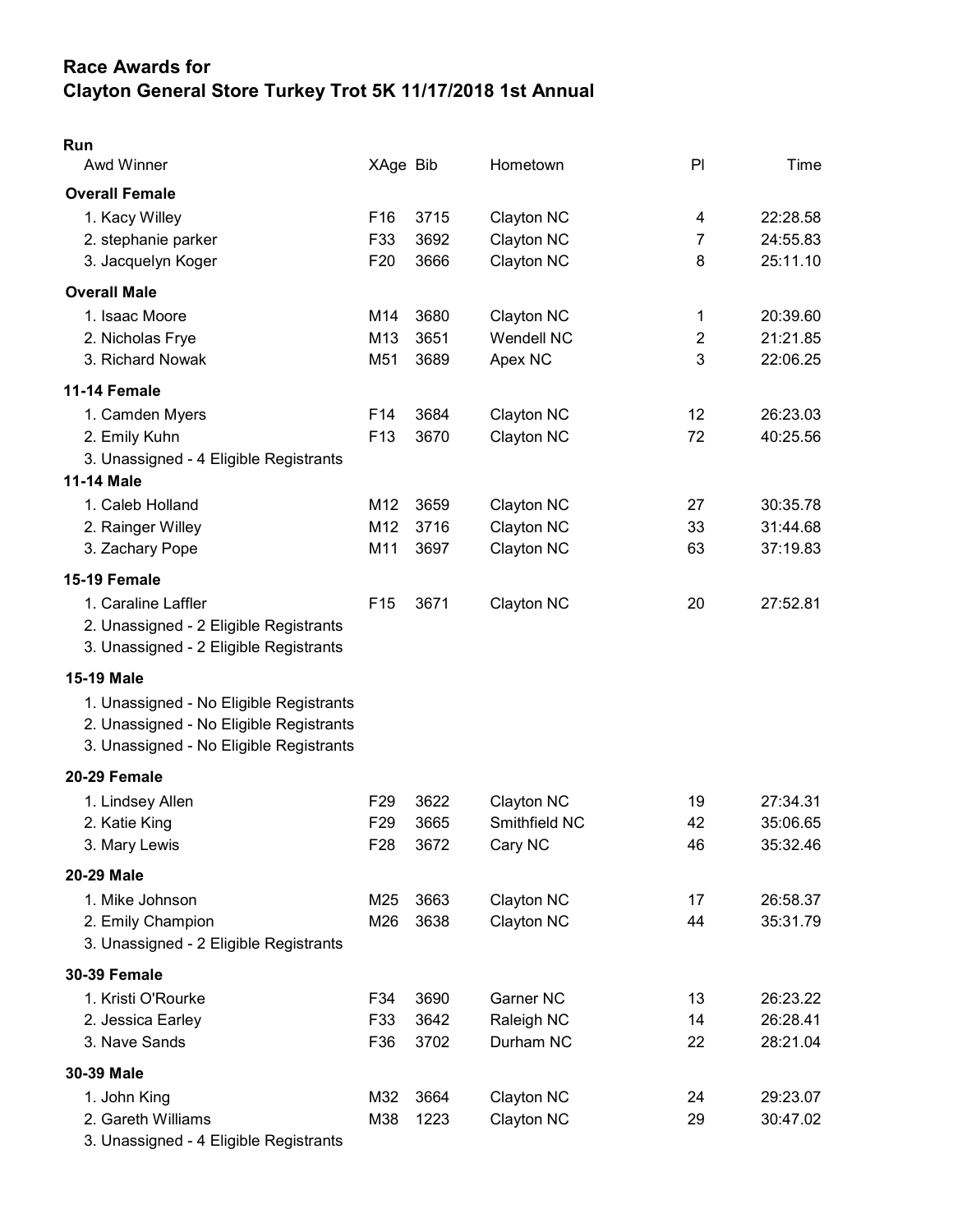# Race Awards for Clayton General Store Turkey Trot 5K 11/17/2018 1st Annual

| Run<br>Awd Winner                       | XAge Bib        |      | Hometown          | PI             | Time     |
|-----------------------------------------|-----------------|------|-------------------|----------------|----------|
| <b>Overall Female</b>                   |                 |      |                   |                |          |
| 1. Kacy Willey                          | F <sub>16</sub> | 3715 | Clayton NC        | 4              | 22:28.58 |
| 2. stephanie parker                     | F33             | 3692 | Clayton NC        | 7              | 24:55.83 |
| 3. Jacquelyn Koger                      | F <sub>20</sub> | 3666 | Clayton NC        | 8              | 25:11.10 |
| <b>Overall Male</b>                     |                 |      |                   |                |          |
| 1. Isaac Moore                          | M14             | 3680 | Clayton NC        | 1              | 20:39.60 |
| 2. Nicholas Frye                        | M13             | 3651 | <b>Wendell NC</b> | $\overline{c}$ | 21:21.85 |
| 3. Richard Nowak                        | M51             | 3689 | Apex NC           | 3              | 22:06.25 |
| 11-14 Female                            |                 |      |                   |                |          |
| 1. Camden Myers                         | F14             | 3684 | Clayton NC        | 12             | 26:23.03 |
| 2. Emily Kuhn                           | F <sub>13</sub> | 3670 | Clayton NC        | 72             | 40:25.56 |
| 3. Unassigned - 4 Eligible Registrants  |                 |      |                   |                |          |
| <b>11-14 Male</b>                       |                 |      |                   |                |          |
| 1. Caleb Holland                        | M12             | 3659 | Clayton NC        | 27             | 30:35.78 |
| 2. Rainger Willey                       | M12             | 3716 | Clayton NC        | 33             | 31:44.68 |
| 3. Zachary Pope                         | M11             | 3697 | Clayton NC        | 63             | 37:19.83 |
| 15-19 Female                            |                 |      |                   |                |          |
| 1. Caraline Laffler                     | F <sub>15</sub> | 3671 | Clayton NC        | 20             | 27:52.81 |
| 2. Unassigned - 2 Eligible Registrants  |                 |      |                   |                |          |
| 3. Unassigned - 2 Eligible Registrants  |                 |      |                   |                |          |
| <b>15-19 Male</b>                       |                 |      |                   |                |          |
| 1. Unassigned - No Eligible Registrants |                 |      |                   |                |          |
| 2. Unassigned - No Eligible Registrants |                 |      |                   |                |          |
| 3. Unassigned - No Eligible Registrants |                 |      |                   |                |          |
| 20-29 Female                            |                 |      |                   |                |          |
| 1. Lindsey Allen                        | F <sub>29</sub> | 3622 | Clayton NC        | 19             | 27:34.31 |
| 2. Katie King                           | F <sub>29</sub> | 3665 | Smithfield NC     | 42             | 35:06.65 |
| 3. Mary Lewis                           | F <sub>28</sub> | 3672 | Cary NC           | 46             | 35:32.46 |
| 20-29 Male                              |                 |      |                   |                |          |
| 1. Mike Johnson                         | M25             | 3663 | Clayton NC        | 17             | 26:58.37 |
| 2. Emily Champion                       | M26             | 3638 | Clayton NC        | 44             | 35:31.79 |
| 3. Unassigned - 2 Eligible Registrants  |                 |      |                   |                |          |
| <b>30-39 Female</b>                     |                 |      |                   |                |          |
| 1. Kristi O'Rourke                      | F34             | 3690 | Garner NC         | 13             | 26:23.22 |
| 2. Jessica Earley                       | F33             | 3642 | Raleigh NC        | 14             | 26:28.41 |
| 3. Nave Sands                           | F36             | 3702 | Durham NC         | 22             | 28:21.04 |
| 30-39 Male                              |                 |      |                   |                |          |
| 1. John King                            | M32             | 3664 | Clayton NC        | 24             | 29:23.07 |
| 2. Gareth Williams                      | M38             | 1223 | Clayton NC        | 29             | 30:47.02 |
| 3. Unassigned - 4 Eligible Registrants  |                 |      |                   |                |          |